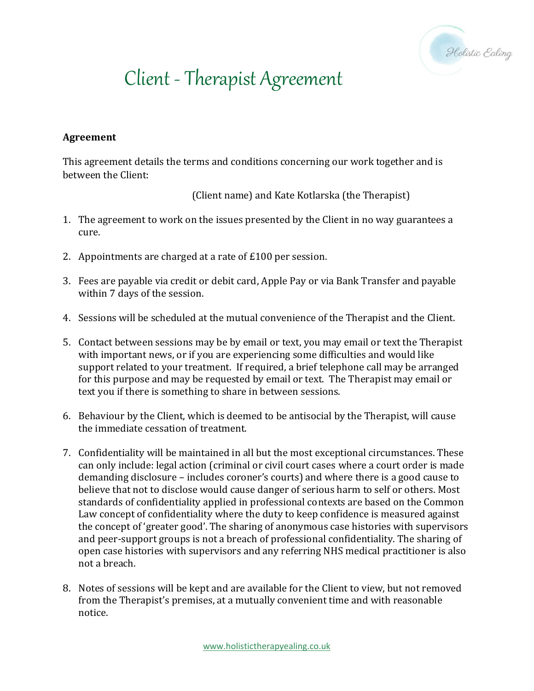

## Client - Therapist Agreement

## **Agreement**

This agreement details the terms and conditions concerning our work together and is between the Client:

(Client name) and Kate Kotlarska (the Therapist)

- 1. The agreement to work on the issues presented by the Client in no way guarantees a cure.
- 2. Appointments are charged at a rate of £100 per session.
- 3. Fees are payable via credit or debit card, Apple Pay or via Bank Transfer and payable within 7 days of the session.
- 4. Sessions will be scheduled at the mutual convenience of the Therapist and the Client.
- 5. Contact between sessions may be by email or text, you may email or text the Therapist with important news, or if you are experiencing some difficulties and would like support related to your treatment. If required, a brief telephone call may be arranged for this purpose and may be requested by email or text. The Therapist may email or text you if there is something to share in between sessions.
- 6. Behaviour by the Client, which is deemed to be antisocial by the Therapist, will cause the immediate cessation of treatment.
- 7. Confidentiality will be maintained in all but the most exceptional circumstances. These can only include: legal action (criminal or civil court cases where a court order is made demanding disclosure – includes coroner's courts) and where there is a good cause to believe that not to disclose would cause danger of serious harm to self or others. Most standards of confidentiality applied in professional contexts are based on the Common Law concept of confidentiality where the duty to keep confidence is measured against the concept of 'greater good'. The sharing of anonymous case histories with supervisors and peer-support groups is not a breach of professional confidentiality. The sharing of open case histories with supervisors and any referring NHS medical practitioner is also not a breach.
- 8. Notes of sessions will be kept and are available for the Client to view, but not removed from the Therapist's premises, at a mutually convenient time and with reasonable notice.